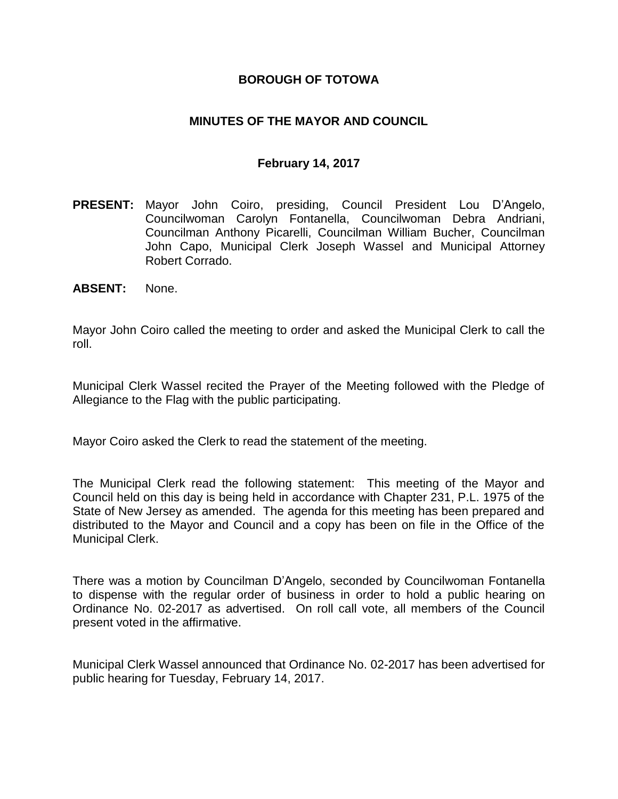### **BOROUGH OF TOTOWA**

### **MINUTES OF THE MAYOR AND COUNCIL**

#### **February 14, 2017**

- **PRESENT:** Mayor John Coiro, presiding, Council President Lou D'Angelo, Councilwoman Carolyn Fontanella, Councilwoman Debra Andriani, Councilman Anthony Picarelli, Councilman William Bucher, Councilman John Capo, Municipal Clerk Joseph Wassel and Municipal Attorney Robert Corrado.
- **ABSENT:** None.

Mayor John Coiro called the meeting to order and asked the Municipal Clerk to call the roll.

Municipal Clerk Wassel recited the Prayer of the Meeting followed with the Pledge of Allegiance to the Flag with the public participating.

Mayor Coiro asked the Clerk to read the statement of the meeting.

The Municipal Clerk read the following statement: This meeting of the Mayor and Council held on this day is being held in accordance with Chapter 231, P.L. 1975 of the State of New Jersey as amended. The agenda for this meeting has been prepared and distributed to the Mayor and Council and a copy has been on file in the Office of the Municipal Clerk.

There was a motion by Councilman D'Angelo, seconded by Councilwoman Fontanella to dispense with the regular order of business in order to hold a public hearing on Ordinance No. 02-2017 as advertised. On roll call vote, all members of the Council present voted in the affirmative.

Municipal Clerk Wassel announced that Ordinance No. 02-2017 has been advertised for public hearing for Tuesday, February 14, 2017.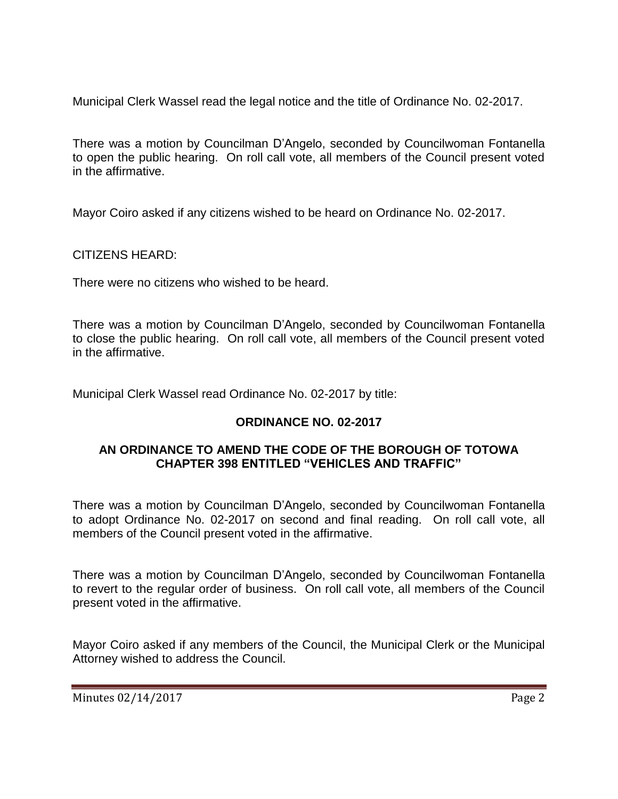Municipal Clerk Wassel read the legal notice and the title of Ordinance No. 02-2017.

There was a motion by Councilman D'Angelo, seconded by Councilwoman Fontanella to open the public hearing. On roll call vote, all members of the Council present voted in the affirmative.

Mayor Coiro asked if any citizens wished to be heard on Ordinance No. 02-2017.

CITIZENS HEARD:

There were no citizens who wished to be heard.

There was a motion by Councilman D'Angelo, seconded by Councilwoman Fontanella to close the public hearing. On roll call vote, all members of the Council present voted in the affirmative.

Municipal Clerk Wassel read Ordinance No. 02-2017 by title:

# **ORDINANCE NO. 02-2017**

### **AN ORDINANCE TO AMEND THE CODE OF THE BOROUGH OF TOTOWA CHAPTER 398 ENTITLED "VEHICLES AND TRAFFIC"**

There was a motion by Councilman D'Angelo, seconded by Councilwoman Fontanella to adopt Ordinance No. 02-2017 on second and final reading. On roll call vote, all members of the Council present voted in the affirmative.

There was a motion by Councilman D'Angelo, seconded by Councilwoman Fontanella to revert to the regular order of business. On roll call vote, all members of the Council present voted in the affirmative.

Mayor Coiro asked if any members of the Council, the Municipal Clerk or the Municipal Attorney wished to address the Council.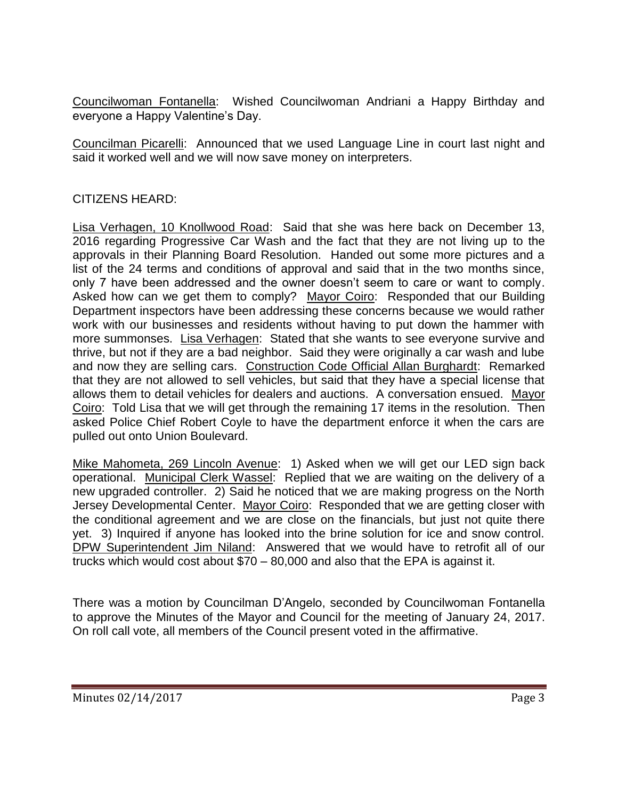Councilwoman Fontanella: Wished Councilwoman Andriani a Happy Birthday and everyone a Happy Valentine's Day.

Councilman Picarelli: Announced that we used Language Line in court last night and said it worked well and we will now save money on interpreters.

### CITIZENS HEARD:

Lisa Verhagen, 10 Knollwood Road: Said that she was here back on December 13, 2016 regarding Progressive Car Wash and the fact that they are not living up to the approvals in their Planning Board Resolution. Handed out some more pictures and a list of the 24 terms and conditions of approval and said that in the two months since, only 7 have been addressed and the owner doesn't seem to care or want to comply. Asked how can we get them to comply? Mayor Coiro: Responded that our Building Department inspectors have been addressing these concerns because we would rather work with our businesses and residents without having to put down the hammer with more summonses. Lisa Verhagen: Stated that she wants to see everyone survive and thrive, but not if they are a bad neighbor. Said they were originally a car wash and lube and now they are selling cars. Construction Code Official Allan Burghardt: Remarked that they are not allowed to sell vehicles, but said that they have a special license that allows them to detail vehicles for dealers and auctions. A conversation ensued. Mayor Coiro: Told Lisa that we will get through the remaining 17 items in the resolution. Then asked Police Chief Robert Coyle to have the department enforce it when the cars are pulled out onto Union Boulevard.

Mike Mahometa, 269 Lincoln Avenue: 1) Asked when we will get our LED sign back operational. Municipal Clerk Wassel: Replied that we are waiting on the delivery of a new upgraded controller. 2) Said he noticed that we are making progress on the North Jersey Developmental Center. Mayor Coiro: Responded that we are getting closer with the conditional agreement and we are close on the financials, but just not quite there yet. 3) Inquired if anyone has looked into the brine solution for ice and snow control. DPW Superintendent Jim Niland: Answered that we would have to retrofit all of our trucks which would cost about \$70 – 80,000 and also that the EPA is against it.

There was a motion by Councilman D'Angelo, seconded by Councilwoman Fontanella to approve the Minutes of the Mayor and Council for the meeting of January 24, 2017. On roll call vote, all members of the Council present voted in the affirmative.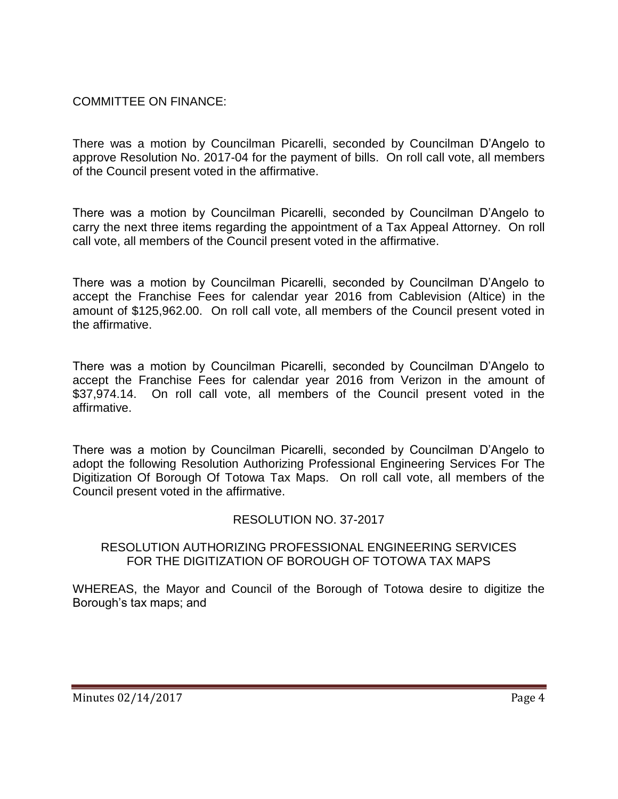## COMMITTEE ON FINANCE:

There was a motion by Councilman Picarelli, seconded by Councilman D'Angelo to approve Resolution No. 2017-04 for the payment of bills. On roll call vote, all members of the Council present voted in the affirmative.

There was a motion by Councilman Picarelli, seconded by Councilman D'Angelo to carry the next three items regarding the appointment of a Tax Appeal Attorney. On roll call vote, all members of the Council present voted in the affirmative.

There was a motion by Councilman Picarelli, seconded by Councilman D'Angelo to accept the Franchise Fees for calendar year 2016 from Cablevision (Altice) in the amount of \$125,962.00. On roll call vote, all members of the Council present voted in the affirmative.

There was a motion by Councilman Picarelli, seconded by Councilman D'Angelo to accept the Franchise Fees for calendar year 2016 from Verizon in the amount of \$37,974.14. On roll call vote, all members of the Council present voted in the affirmative.

There was a motion by Councilman Picarelli, seconded by Councilman D'Angelo to adopt the following Resolution Authorizing Professional Engineering Services For The Digitization Of Borough Of Totowa Tax Maps. On roll call vote, all members of the Council present voted in the affirmative.

## RESOLUTION NO. 37-2017

#### RESOLUTION AUTHORIZING PROFESSIONAL ENGINEERING SERVICES FOR THE DIGITIZATION OF BOROUGH OF TOTOWA TAX MAPS

WHEREAS, the Mayor and Council of the Borough of Totowa desire to digitize the Borough's tax maps; and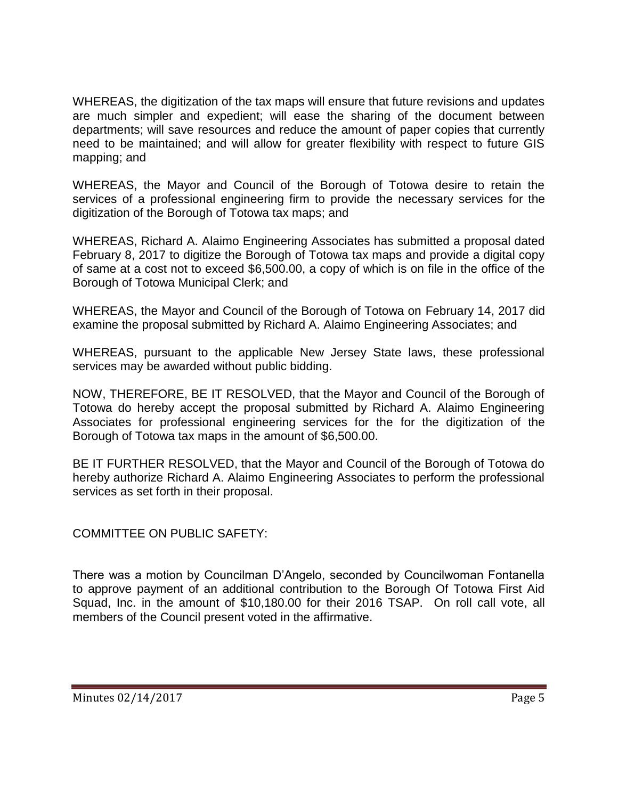WHEREAS, the digitization of the tax maps will ensure that future revisions and updates are much simpler and expedient; will ease the sharing of the document between departments; will save resources and reduce the amount of paper copies that currently need to be maintained; and will allow for greater flexibility with respect to future GIS mapping; and

WHEREAS, the Mayor and Council of the Borough of Totowa desire to retain the services of a professional engineering firm to provide the necessary services for the digitization of the Borough of Totowa tax maps; and

WHEREAS, Richard A. Alaimo Engineering Associates has submitted a proposal dated February 8, 2017 to digitize the Borough of Totowa tax maps and provide a digital copy of same at a cost not to exceed \$6,500.00, a copy of which is on file in the office of the Borough of Totowa Municipal Clerk; and

WHEREAS, the Mayor and Council of the Borough of Totowa on February 14, 2017 did examine the proposal submitted by Richard A. Alaimo Engineering Associates; and

WHEREAS, pursuant to the applicable New Jersey State laws, these professional services may be awarded without public bidding.

NOW, THEREFORE, BE IT RESOLVED, that the Mayor and Council of the Borough of Totowa do hereby accept the proposal submitted by Richard A. Alaimo Engineering Associates for professional engineering services for the for the digitization of the Borough of Totowa tax maps in the amount of \$6,500.00.

BE IT FURTHER RESOLVED, that the Mayor and Council of the Borough of Totowa do hereby authorize Richard A. Alaimo Engineering Associates to perform the professional services as set forth in their proposal.

COMMITTEE ON PUBLIC SAFETY:

There was a motion by Councilman D'Angelo, seconded by Councilwoman Fontanella to approve payment of an additional contribution to the Borough Of Totowa First Aid Squad, Inc. in the amount of \$10,180.00 for their 2016 TSAP. On roll call vote, all members of the Council present voted in the affirmative.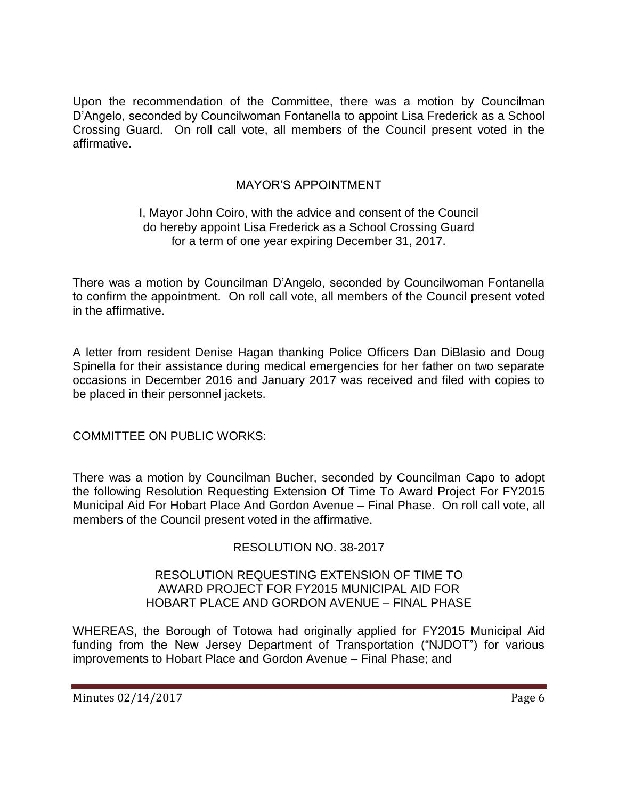Upon the recommendation of the Committee, there was a motion by Councilman D'Angelo, seconded by Councilwoman Fontanella to appoint Lisa Frederick as a School Crossing Guard. On roll call vote, all members of the Council present voted in the affirmative.

## MAYOR'S APPOINTMENT

### I, Mayor John Coiro, with the advice and consent of the Council do hereby appoint Lisa Frederick as a School Crossing Guard for a term of one year expiring December 31, 2017.

There was a motion by Councilman D'Angelo, seconded by Councilwoman Fontanella to confirm the appointment. On roll call vote, all members of the Council present voted in the affirmative.

A letter from resident Denise Hagan thanking Police Officers Dan DiBlasio and Doug Spinella for their assistance during medical emergencies for her father on two separate occasions in December 2016 and January 2017 was received and filed with copies to be placed in their personnel jackets.

COMMITTEE ON PUBLIC WORKS:

There was a motion by Councilman Bucher, seconded by Councilman Capo to adopt the following Resolution Requesting Extension Of Time To Award Project For FY2015 Municipal Aid For Hobart Place And Gordon Avenue – Final Phase. On roll call vote, all members of the Council present voted in the affirmative.

RESOLUTION NO. 38-2017

#### RESOLUTION REQUESTING EXTENSION OF TIME TO AWARD PROJECT FOR FY2015 MUNICIPAL AID FOR HOBART PLACE AND GORDON AVENUE – FINAL PHASE

WHEREAS, the Borough of Totowa had originally applied for FY2015 Municipal Aid funding from the New Jersey Department of Transportation ("NJDOT") for various improvements to Hobart Place and Gordon Avenue – Final Phase; and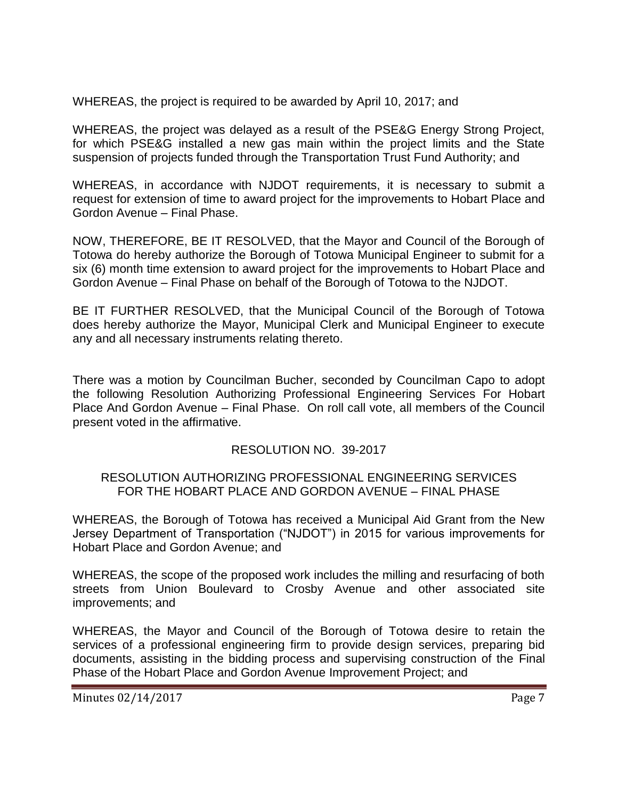WHEREAS, the project is required to be awarded by April 10, 2017; and

WHEREAS, the project was delayed as a result of the PSE&G Energy Strong Project, for which PSE&G installed a new gas main within the project limits and the State suspension of projects funded through the Transportation Trust Fund Authority; and

WHEREAS, in accordance with NJDOT requirements, it is necessary to submit a request for extension of time to award project for the improvements to Hobart Place and Gordon Avenue – Final Phase.

NOW, THEREFORE, BE IT RESOLVED, that the Mayor and Council of the Borough of Totowa do hereby authorize the Borough of Totowa Municipal Engineer to submit for a six (6) month time extension to award project for the improvements to Hobart Place and Gordon Avenue – Final Phase on behalf of the Borough of Totowa to the NJDOT.

BE IT FURTHER RESOLVED, that the Municipal Council of the Borough of Totowa does hereby authorize the Mayor, Municipal Clerk and Municipal Engineer to execute any and all necessary instruments relating thereto.

There was a motion by Councilman Bucher, seconded by Councilman Capo to adopt the following Resolution Authorizing Professional Engineering Services For Hobart Place And Gordon Avenue – Final Phase. On roll call vote, all members of the Council present voted in the affirmative.

## RESOLUTION NO. 39-2017

#### RESOLUTION AUTHORIZING PROFESSIONAL ENGINEERING SERVICES FOR THE HOBART PLACE AND GORDON AVENUE – FINAL PHASE

WHEREAS, the Borough of Totowa has received a Municipal Aid Grant from the New Jersey Department of Transportation ("NJDOT") in 2015 for various improvements for Hobart Place and Gordon Avenue; and

WHEREAS, the scope of the proposed work includes the milling and resurfacing of both streets from Union Boulevard to Crosby Avenue and other associated site improvements; and

WHEREAS, the Mayor and Council of the Borough of Totowa desire to retain the services of a professional engineering firm to provide design services, preparing bid documents, assisting in the bidding process and supervising construction of the Final Phase of the Hobart Place and Gordon Avenue Improvement Project; and

Minutes 02/14/2017 Page 7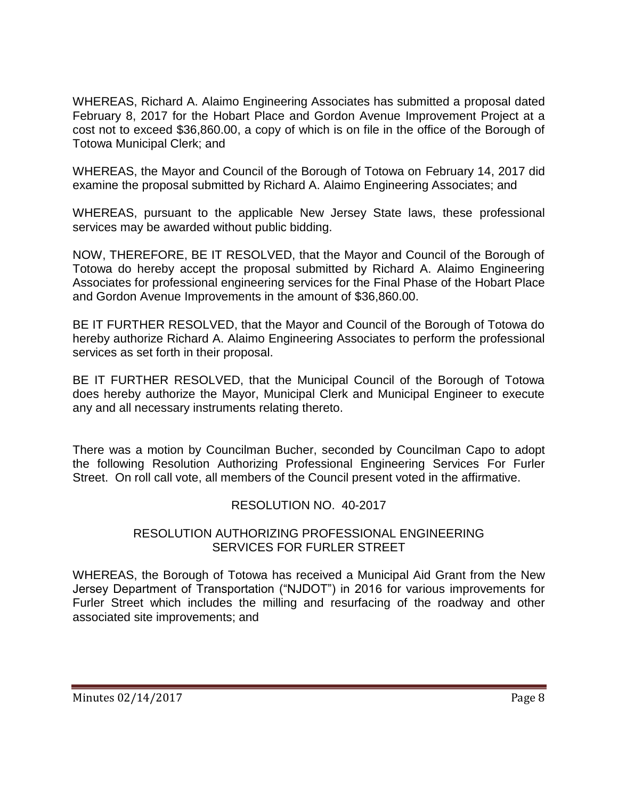WHEREAS, Richard A. Alaimo Engineering Associates has submitted a proposal dated February 8, 2017 for the Hobart Place and Gordon Avenue Improvement Project at a cost not to exceed \$36,860.00, a copy of which is on file in the office of the Borough of Totowa Municipal Clerk; and

WHEREAS, the Mayor and Council of the Borough of Totowa on February 14, 2017 did examine the proposal submitted by Richard A. Alaimo Engineering Associates; and

WHEREAS, pursuant to the applicable New Jersey State laws, these professional services may be awarded without public bidding.

NOW, THEREFORE, BE IT RESOLVED, that the Mayor and Council of the Borough of Totowa do hereby accept the proposal submitted by Richard A. Alaimo Engineering Associates for professional engineering services for the Final Phase of the Hobart Place and Gordon Avenue Improvements in the amount of \$36,860.00.

BE IT FURTHER RESOLVED, that the Mayor and Council of the Borough of Totowa do hereby authorize Richard A. Alaimo Engineering Associates to perform the professional services as set forth in their proposal.

BE IT FURTHER RESOLVED, that the Municipal Council of the Borough of Totowa does hereby authorize the Mayor, Municipal Clerk and Municipal Engineer to execute any and all necessary instruments relating thereto.

There was a motion by Councilman Bucher, seconded by Councilman Capo to adopt the following Resolution Authorizing Professional Engineering Services For Furler Street. On roll call vote, all members of the Council present voted in the affirmative.

## RESOLUTION NO. 40-2017

### RESOLUTION AUTHORIZING PROFESSIONAL ENGINEERING SERVICES FOR FURLER STREET

WHEREAS, the Borough of Totowa has received a Municipal Aid Grant from the New Jersey Department of Transportation ("NJDOT") in 2016 for various improvements for Furler Street which includes the milling and resurfacing of the roadway and other associated site improvements; and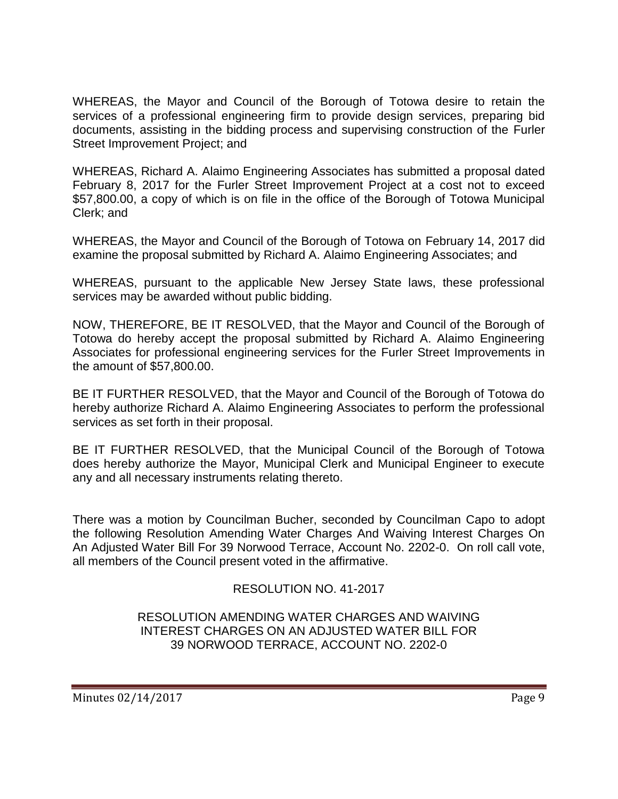WHEREAS, the Mayor and Council of the Borough of Totowa desire to retain the services of a professional engineering firm to provide design services, preparing bid documents, assisting in the bidding process and supervising construction of the Furler Street Improvement Project; and

WHEREAS, Richard A. Alaimo Engineering Associates has submitted a proposal dated February 8, 2017 for the Furler Street Improvement Project at a cost not to exceed \$57,800.00, a copy of which is on file in the office of the Borough of Totowa Municipal Clerk; and

WHEREAS, the Mayor and Council of the Borough of Totowa on February 14, 2017 did examine the proposal submitted by Richard A. Alaimo Engineering Associates; and

WHEREAS, pursuant to the applicable New Jersey State laws, these professional services may be awarded without public bidding.

NOW, THEREFORE, BE IT RESOLVED, that the Mayor and Council of the Borough of Totowa do hereby accept the proposal submitted by Richard A. Alaimo Engineering Associates for professional engineering services for the Furler Street Improvements in the amount of \$57,800.00.

BE IT FURTHER RESOLVED, that the Mayor and Council of the Borough of Totowa do hereby authorize Richard A. Alaimo Engineering Associates to perform the professional services as set forth in their proposal.

BE IT FURTHER RESOLVED, that the Municipal Council of the Borough of Totowa does hereby authorize the Mayor, Municipal Clerk and Municipal Engineer to execute any and all necessary instruments relating thereto.

There was a motion by Councilman Bucher, seconded by Councilman Capo to adopt the following Resolution Amending Water Charges And Waiving Interest Charges On An Adjusted Water Bill For 39 Norwood Terrace, Account No. 2202-0. On roll call vote, all members of the Council present voted in the affirmative.

## RESOLUTION NO. 41-2017

### RESOLUTION AMENDING WATER CHARGES AND WAIVING INTEREST CHARGES ON AN ADJUSTED WATER BILL FOR 39 NORWOOD TERRACE, ACCOUNT NO. 2202-0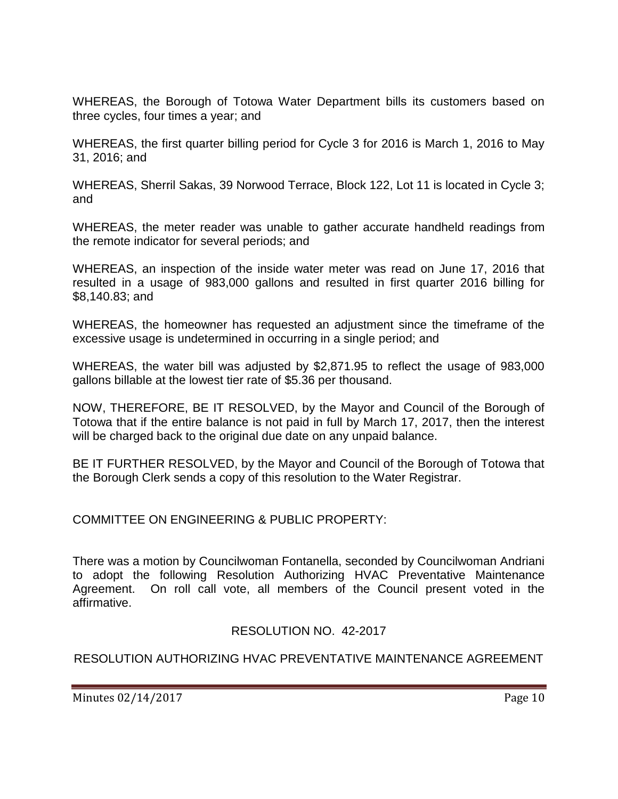WHEREAS, the Borough of Totowa Water Department bills its customers based on three cycles, four times a year; and

WHEREAS, the first quarter billing period for Cycle 3 for 2016 is March 1, 2016 to May 31, 2016; and

WHEREAS, Sherril Sakas, 39 Norwood Terrace, Block 122, Lot 11 is located in Cycle 3; and

WHEREAS, the meter reader was unable to gather accurate handheld readings from the remote indicator for several periods; and

WHEREAS, an inspection of the inside water meter was read on June 17, 2016 that resulted in a usage of 983,000 gallons and resulted in first quarter 2016 billing for \$8,140.83; and

WHEREAS, the homeowner has requested an adjustment since the timeframe of the excessive usage is undetermined in occurring in a single period; and

WHEREAS, the water bill was adjusted by \$2,871.95 to reflect the usage of 983,000 gallons billable at the lowest tier rate of \$5.36 per thousand.

NOW, THEREFORE, BE IT RESOLVED, by the Mayor and Council of the Borough of Totowa that if the entire balance is not paid in full by March 17, 2017, then the interest will be charged back to the original due date on any unpaid balance.

BE IT FURTHER RESOLVED, by the Mayor and Council of the Borough of Totowa that the Borough Clerk sends a copy of this resolution to the Water Registrar.

COMMITTEE ON ENGINEERING & PUBLIC PROPERTY:

There was a motion by Councilwoman Fontanella, seconded by Councilwoman Andriani to adopt the following Resolution Authorizing HVAC Preventative Maintenance Agreement. On roll call vote, all members of the Council present voted in the affirmative.

RESOLUTION NO. 42-2017

## RESOLUTION AUTHORIZING HVAC PREVENTATIVE MAINTENANCE AGREEMENT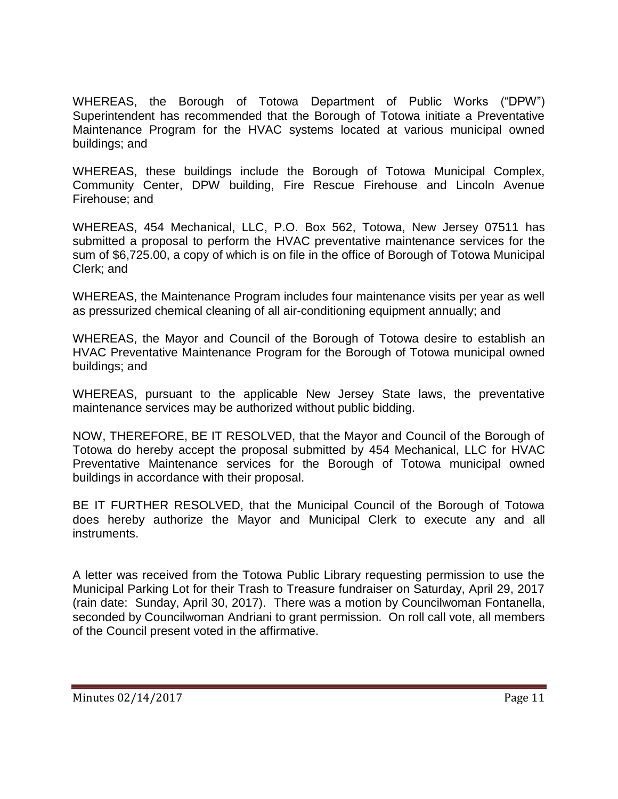WHEREAS, the Borough of Totowa Department of Public Works ("DPW") Superintendent has recommended that the Borough of Totowa initiate a Preventative Maintenance Program for the HVAC systems located at various municipal owned buildings; and

WHEREAS, these buildings include the Borough of Totowa Municipal Complex, Community Center, DPW building, Fire Rescue Firehouse and Lincoln Avenue Firehouse; and

WHEREAS, 454 Mechanical, LLC, P.O. Box 562, Totowa, New Jersey 07511 has submitted a proposal to perform the HVAC preventative maintenance services for the sum of \$6,725.00, a copy of which is on file in the office of Borough of Totowa Municipal Clerk; and

WHEREAS, the Maintenance Program includes four maintenance visits per year as well as pressurized chemical cleaning of all air-conditioning equipment annually; and

WHEREAS, the Mayor and Council of the Borough of Totowa desire to establish an HVAC Preventative Maintenance Program for the Borough of Totowa municipal owned buildings; and

WHEREAS, pursuant to the applicable New Jersey State laws, the preventative maintenance services may be authorized without public bidding.

NOW, THEREFORE, BE IT RESOLVED, that the Mayor and Council of the Borough of Totowa do hereby accept the proposal submitted by 454 Mechanical, LLC for HVAC Preventative Maintenance services for the Borough of Totowa municipal owned buildings in accordance with their proposal.

BE IT FURTHER RESOLVED, that the Municipal Council of the Borough of Totowa does hereby authorize the Mayor and Municipal Clerk to execute any and all instruments.

A letter was received from the Totowa Public Library requesting permission to use the Municipal Parking Lot for their Trash to Treasure fundraiser on Saturday, April 29, 2017 (rain date: Sunday, April 30, 2017). There was a motion by Councilwoman Fontanella, seconded by Councilwoman Andriani to grant permission. On roll call vote, all members of the Council present voted in the affirmative.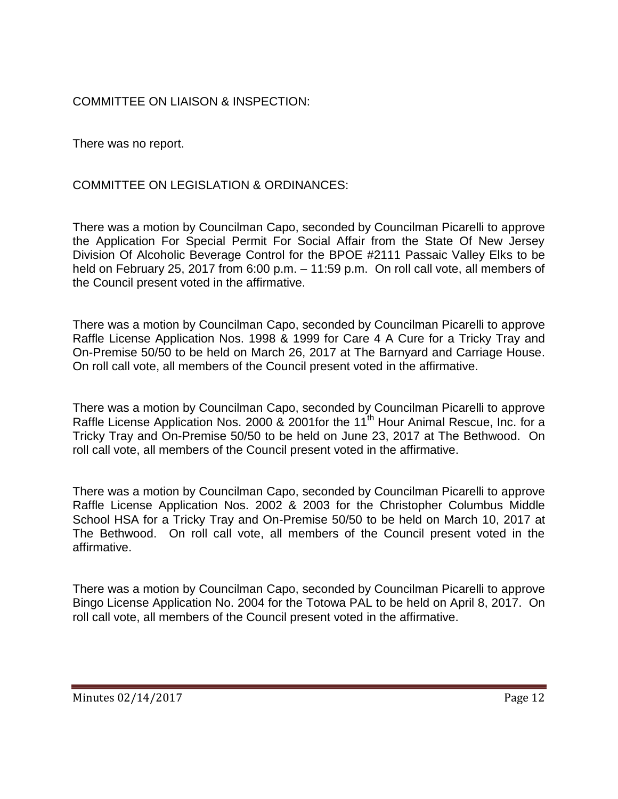# COMMITTEE ON LIAISON & INSPECTION:

There was no report.

COMMITTEE ON LEGISLATION & ORDINANCES:

There was a motion by Councilman Capo, seconded by Councilman Picarelli to approve the Application For Special Permit For Social Affair from the State Of New Jersey Division Of Alcoholic Beverage Control for the BPOE #2111 Passaic Valley Elks to be held on February 25, 2017 from 6:00 p.m. – 11:59 p.m. On roll call vote, all members of the Council present voted in the affirmative.

There was a motion by Councilman Capo, seconded by Councilman Picarelli to approve Raffle License Application Nos. 1998 & 1999 for Care 4 A Cure for a Tricky Tray and On-Premise 50/50 to be held on March 26, 2017 at The Barnyard and Carriage House. On roll call vote, all members of the Council present voted in the affirmative.

There was a motion by Councilman Capo, seconded by Councilman Picarelli to approve Raffle License Application Nos. 2000 & 2001for the 11<sup>th</sup> Hour Animal Rescue, Inc. for a Tricky Tray and On-Premise 50/50 to be held on June 23, 2017 at The Bethwood. On roll call vote, all members of the Council present voted in the affirmative.

There was a motion by Councilman Capo, seconded by Councilman Picarelli to approve Raffle License Application Nos. 2002 & 2003 for the Christopher Columbus Middle School HSA for a Tricky Tray and On-Premise 50/50 to be held on March 10, 2017 at The Bethwood. On roll call vote, all members of the Council present voted in the affirmative.

There was a motion by Councilman Capo, seconded by Councilman Picarelli to approve Bingo License Application No. 2004 for the Totowa PAL to be held on April 8, 2017. On roll call vote, all members of the Council present voted in the affirmative.